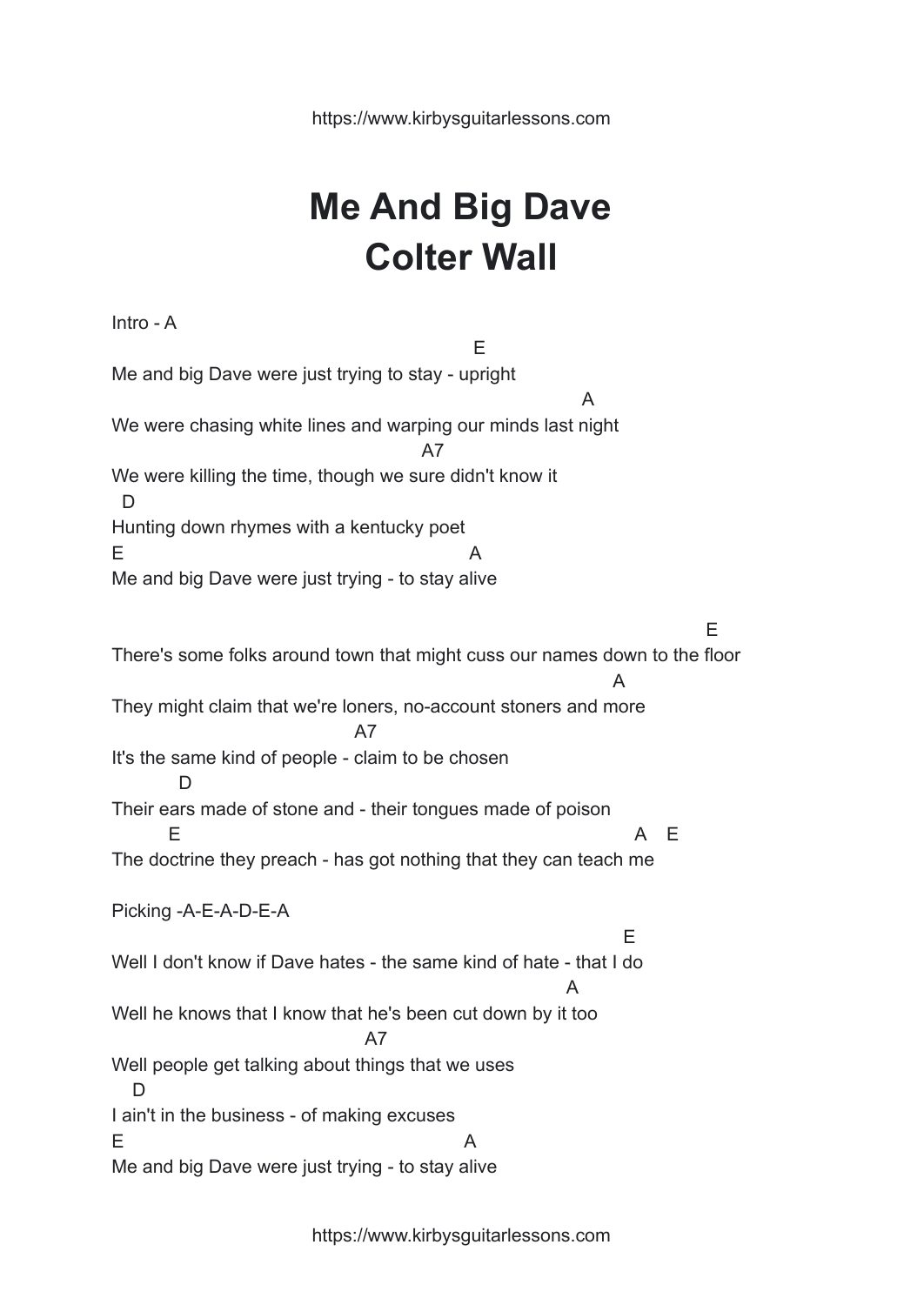https://www.kirbysguitarlessons.com

## **Me And Big Dave Colter Wall**

Intro - A E Me and big Dave were just trying to stay - upright A We were chasing white lines and warping our minds last night A7 We were killing the time, though we sure didn't know it  $\overline{D}$ Hunting down rhymes with a kentucky poet  $E$  and  $A$ Me and big Dave were just trying - to stay alive E There's some folks around town that might cuss our names down to the floor A They might claim that we're loners, no-account stoners and more A7 It's the same kind of people - claim to be chosen D Their ears made of stone and - their tongues made of poison E A E The doctrine they preach - has got nothing that they can teach me Picking -A-E-A-D-E-A E Well I don't know if Dave hates - the same kind of hate - that I do A Well he knows that I know that he's been cut down by it too A7 Well people get talking about things that we uses D I ain't in the business - of making excuses  $E$  and  $A$ Me and big Dave were just trying - to stay alive